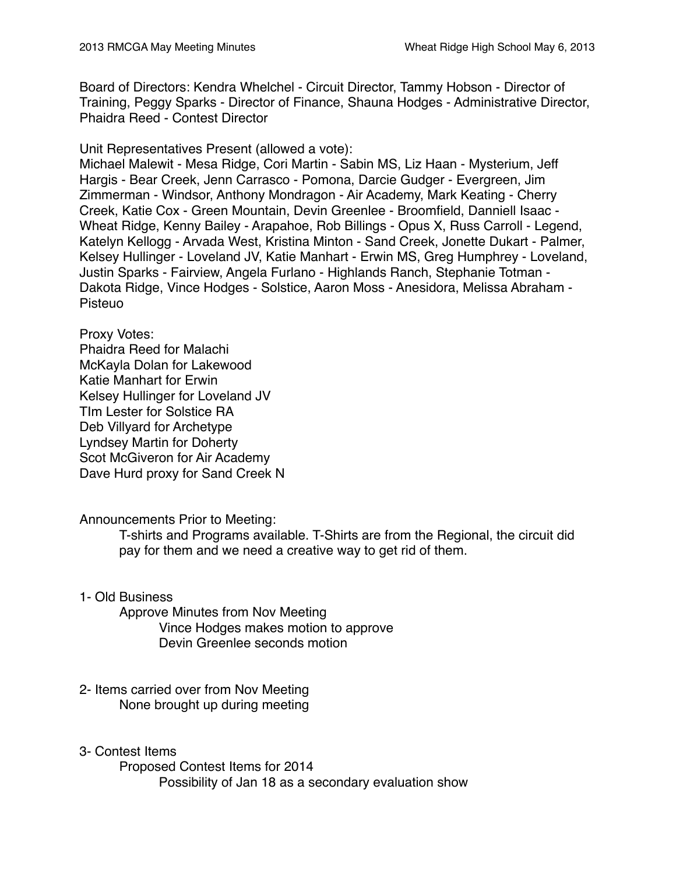Board of Directors: Kendra Whelchel - Circuit Director, Tammy Hobson - Director of Training, Peggy Sparks - Director of Finance, Shauna Hodges - Administrative Director, Phaidra Reed - Contest Director

Unit Representatives Present (allowed a vote):

Michael Malewit - Mesa Ridge, Cori Martin - Sabin MS, Liz Haan - Mysterium, Jeff Hargis - Bear Creek, Jenn Carrasco - Pomona, Darcie Gudger - Evergreen, Jim Zimmerman - Windsor, Anthony Mondragon - Air Academy, Mark Keating - Cherry Creek, Katie Cox - Green Mountain, Devin Greenlee - Broomfield, Danniell Isaac - Wheat Ridge, Kenny Bailey - Arapahoe, Rob Billings - Opus X, Russ Carroll - Legend, Katelyn Kellogg - Arvada West, Kristina Minton - Sand Creek, Jonette Dukart - Palmer, Kelsey Hullinger - Loveland JV, Katie Manhart - Erwin MS, Greg Humphrey - Loveland, Justin Sparks - Fairview, Angela Furlano - Highlands Ranch, Stephanie Totman - Dakota Ridge, Vince Hodges - Solstice, Aaron Moss - Anesidora, Melissa Abraham - Pisteuo

Proxy Votes:

Phaidra Reed for Malachi McKayla Dolan for Lakewood Katie Manhart for Erwin Kelsey Hullinger for Loveland JV TIm Lester for Solstice RA Deb Villyard for Archetype Lyndsey Martin for Doherty Scot McGiveron for Air Academy Dave Hurd proxy for Sand Creek N

Announcements Prior to Meeting:

T-shirts and Programs available. T-Shirts are from the Regional, the circuit did pay for them and we need a creative way to get rid of them.

1- Old Business

Approve Minutes from Nov Meeting Vince Hodges makes motion to approve Devin Greenlee seconds motion

- 2- Items carried over from Nov Meeting None brought up during meeting
- 3- Contest Items

Proposed Contest Items for 2014 Possibility of Jan 18 as a secondary evaluation show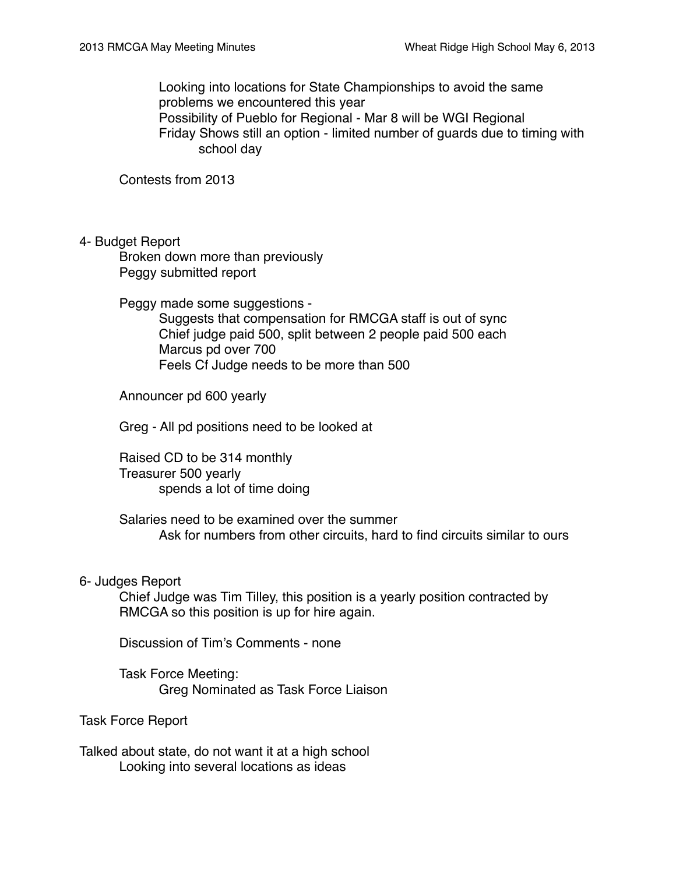Looking into locations for State Championships to avoid the same problems we encountered this year Possibility of Pueblo for Regional - Mar 8 will be WGI Regional Friday Shows still an option - limited number of guards due to timing with school day

Contests from 2013

4- Budget Report

Broken down more than previously Peggy submitted report

Peggy made some suggestions -

Suggests that compensation for RMCGA staff is out of sync Chief judge paid 500, split between 2 people paid 500 each Marcus pd over 700 Feels Cf Judge needs to be more than 500

Announcer pd 600 yearly

Greg - All pd positions need to be looked at

Raised CD to be 314 monthly Treasurer 500 yearly spends a lot of time doing

Salaries need to be examined over the summer Ask for numbers from other circuits, hard to find circuits similar to ours

#### 6- Judges Report

Chief Judge was Tim Tilley, this position is a yearly position contracted by RMCGA so this position is up for hire again.

Discussion of Tim's Comments - none

Task Force Meeting: Greg Nominated as Task Force Liaison

Task Force Report

Talked about state, do not want it at a high school Looking into several locations as ideas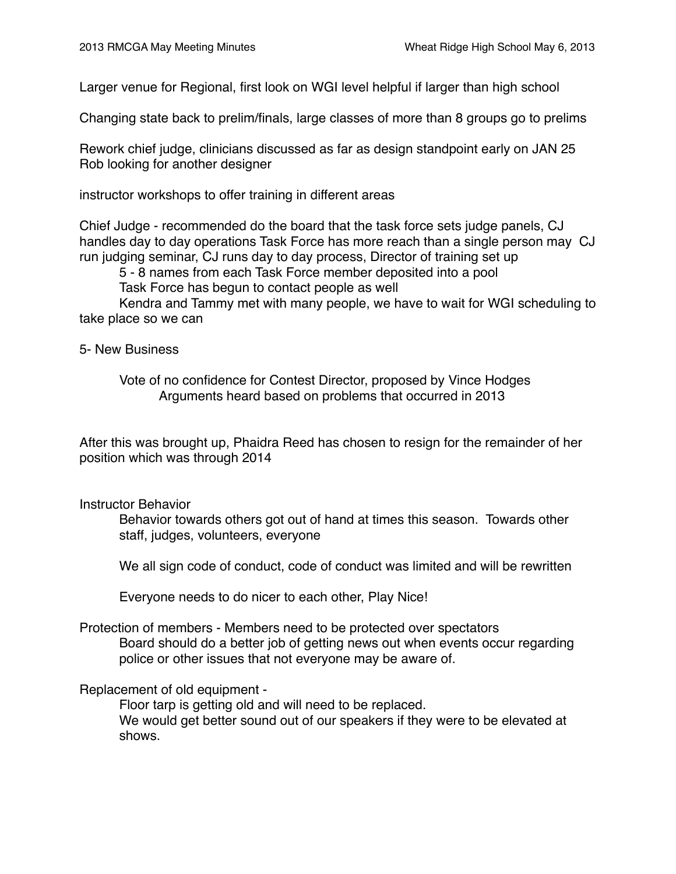Larger venue for Regional, first look on WGI level helpful if larger than high school

Changing state back to prelim/finals, large classes of more than 8 groups go to prelims

Rework chief judge, clinicians discussed as far as design standpoint early on JAN 25 Rob looking for another designer

instructor workshops to offer training in different areas

Chief Judge - recommended do the board that the task force sets judge panels, CJ handles day to day operations Task Force has more reach than a single person may CJ run judging seminar, CJ runs day to day process, Director of training set up

5 - 8 names from each Task Force member deposited into a pool

Task Force has begun to contact people as well

Kendra and Tammy met with many people, we have to wait for WGI scheduling to take place so we can

#### 5- New Business

Vote of no confidence for Contest Director, proposed by Vince Hodges Arguments heard based on problems that occurred in 2013

After this was brought up, Phaidra Reed has chosen to resign for the remainder of her position which was through 2014

# Instructor Behavior

Behavior towards others got out of hand at times this season. Towards other staff, judges, volunteers, everyone

We all sign code of conduct, code of conduct was limited and will be rewritten

Everyone needs to do nicer to each other, Play Nice!

# Protection of members - Members need to be protected over spectators Board should do a better job of getting news out when events occur regarding police or other issues that not everyone may be aware of.

# Replacement of old equipment -

Floor tarp is getting old and will need to be replaced. We would get better sound out of our speakers if they were to be elevated at shows.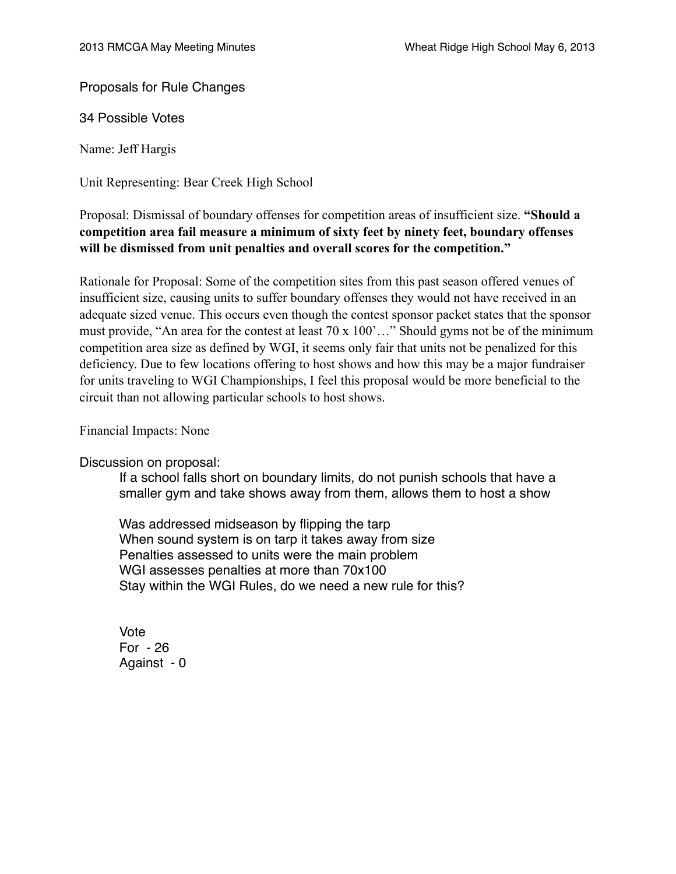Proposals for Rule Changes

34 Possible Votes

Name: Jeff Hargis

Unit Representing: Bear Creek High School

# Proposal: Dismissal of boundary offenses for competition areas of insufficient size. **"Should a competition area fail measure a minimum of sixty feet by ninety feet, boundary offenses will be dismissed from unit penalties and overall scores for the competition."**

Rationale for Proposal: Some of the competition sites from this past season offered venues of insufficient size, causing units to suffer boundary offenses they would not have received in an adequate sized venue. This occurs even though the contest sponsor packet states that the sponsor must provide, "An area for the contest at least 70 x 100'…" Should gyms not be of the minimum competition area size as defined by WGI, it seems only fair that units not be penalized for this deficiency. Due to few locations offering to host shows and how this may be a major fundraiser for units traveling to WGI Championships, I feel this proposal would be more beneficial to the circuit than not allowing particular schools to host shows.

Financial Impacts: None

Discussion on proposal:

If a school falls short on boundary limits, do not punish schools that have a smaller gym and take shows away from them, allows them to host a show

Was addressed midseason by flipping the tarp When sound system is on tarp it takes away from size Penalties assessed to units were the main problem WGI assesses penalties at more than 70x100 Stay within the WGI Rules, do we need a new rule for this?

Vote For - 26 Against - 0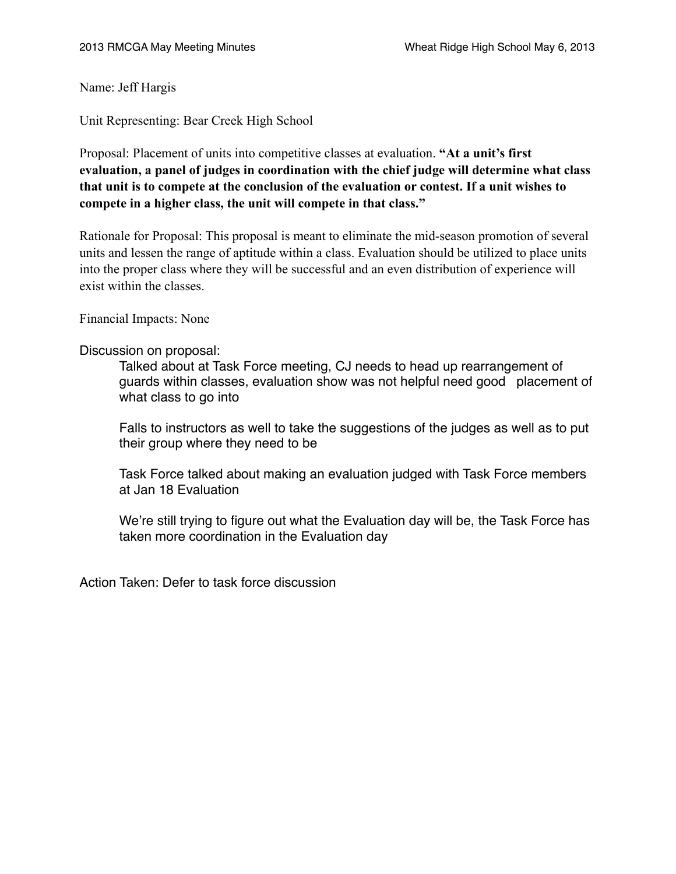Name: Jeff Hargis

Unit Representing: Bear Creek High School

Proposal: Placement of units into competitive classes at evaluation. **"At a unit's first evaluation, a panel of judges in coordination with the chief judge will determine what class that unit is to compete at the conclusion of the evaluation or contest. If a unit wishes to compete in a higher class, the unit will compete in that class."**

Rationale for Proposal: This proposal is meant to eliminate the mid-season promotion of several units and lessen the range of aptitude within a class. Evaluation should be utilized to place units into the proper class where they will be successful and an even distribution of experience will exist within the classes.

Financial Impacts: None

#### Discussion on proposal:

Talked about at Task Force meeting, CJ needs to head up rearrangement of guards within classes, evaluation show was not helpful need good placement of what class to go into

Falls to instructors as well to take the suggestions of the judges as well as to put their group where they need to be

Task Force talked about making an evaluation judged with Task Force members at Jan 18 Evaluation

We're still trying to figure out what the Evaluation day will be, the Task Force has taken more coordination in the Evaluation day

Action Taken: Defer to task force discussion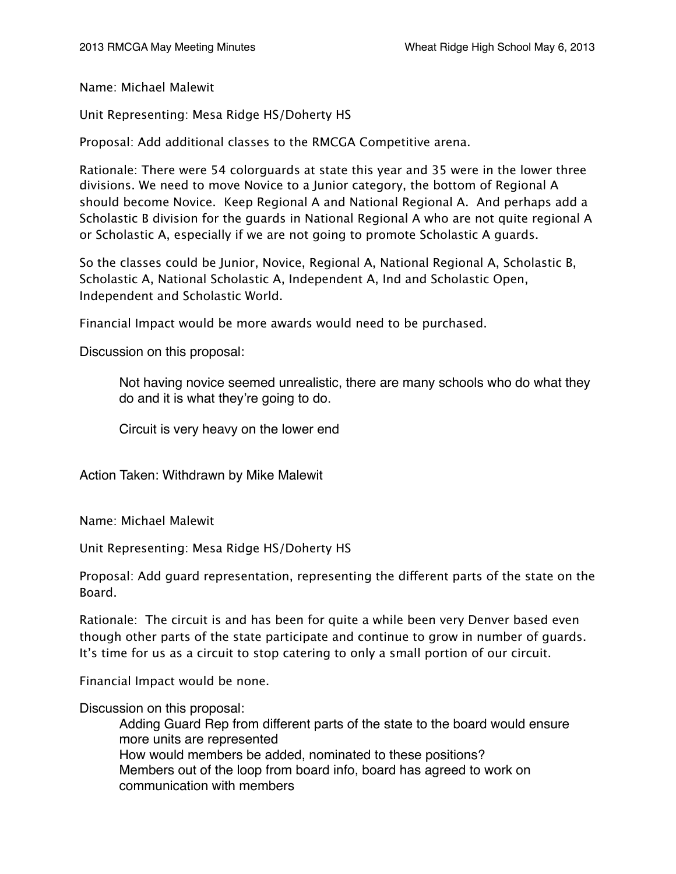Name: Michael Malewit

Unit Representing: Mesa Ridge HS/Doherty HS

Proposal: Add additional classes to the RMCGA Competitive arena.

Rationale: There were 54 colorguards at state this year and 35 were in the lower three divisions. We need to move Novice to a Junior category, the bottom of Regional A should become Novice. Keep Regional A and National Regional A. And perhaps add a Scholastic B division for the guards in National Regional A who are not quite regional A or Scholastic A, especially if we are not going to promote Scholastic A guards.

So the classes could be Junior, Novice, Regional A, National Regional A, Scholastic B, Scholastic A, National Scholastic A, Independent A, Ind and Scholastic Open, Independent and Scholastic World.

Financial Impact would be more awards would need to be purchased.

Discussion on this proposal:

Not having novice seemed unrealistic, there are many schools who do what they do and it is what they're going to do.

Circuit is very heavy on the lower end

Action Taken: Withdrawn by Mike Malewit

Name: Michael Malewit

Unit Representing: Mesa Ridge HS/Doherty HS

Proposal: Add guard representation, representing the diferent parts of the state on the Board.

Rationale: The circuit is and has been for quite a while been very Denver based even though other parts of the state participate and continue to grow in number of guards. It's time for us as a circuit to stop catering to only a small portion of our circuit.

Financial Impact would be none.

Discussion on this proposal:

Adding Guard Rep from different parts of the state to the board would ensure more units are represented How would members be added, nominated to these positions? Members out of the loop from board info, board has agreed to work on communication with members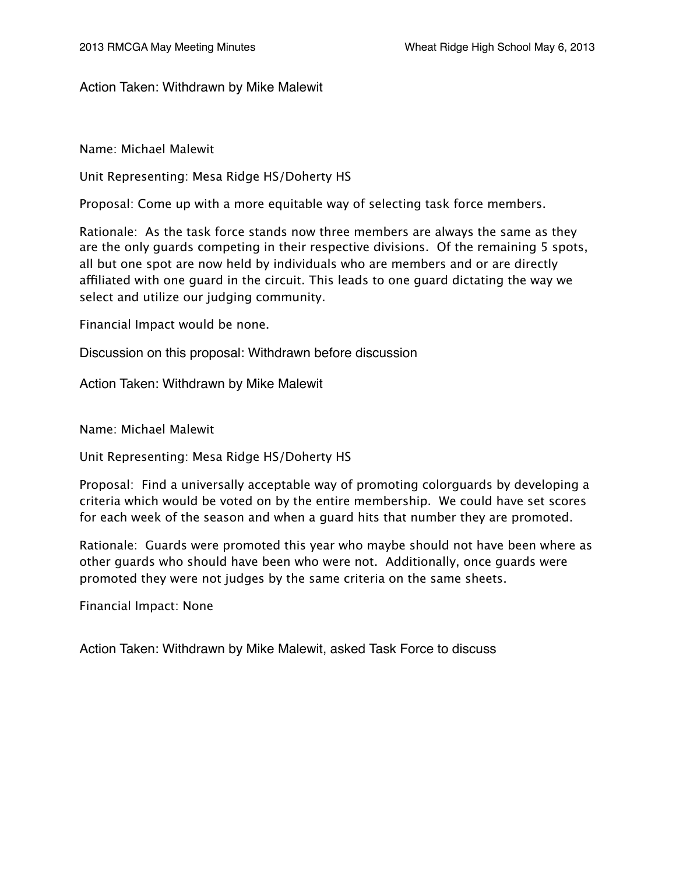Action Taken: Withdrawn by Mike Malewit

Name: Michael Malewit

Unit Representing: Mesa Ridge HS/Doherty HS

Proposal: Come up with a more equitable way of selecting task force members.

Rationale: As the task force stands now three members are always the same as they are the only guards competing in their respective divisions. Of the remaining 5 spots, all but one spot are now held by individuals who are members and or are directly affiliated with one quard in the circuit. This leads to one quard dictating the way we select and utilize our judging community.

Financial Impact would be none.

Discussion on this proposal: Withdrawn before discussion

Action Taken: Withdrawn by Mike Malewit

Name: Michael Malewit

Unit Representing: Mesa Ridge HS/Doherty HS

Proposal: Find a universally acceptable way of promoting colorguards by developing a criteria which would be voted on by the entire membership. We could have set scores for each week of the season and when a guard hits that number they are promoted.

Rationale: Guards were promoted this year who maybe should not have been where as other guards who should have been who were not. Additionally, once guards were promoted they were not judges by the same criteria on the same sheets.

Financial Impact: None

Action Taken: Withdrawn by Mike Malewit, asked Task Force to discuss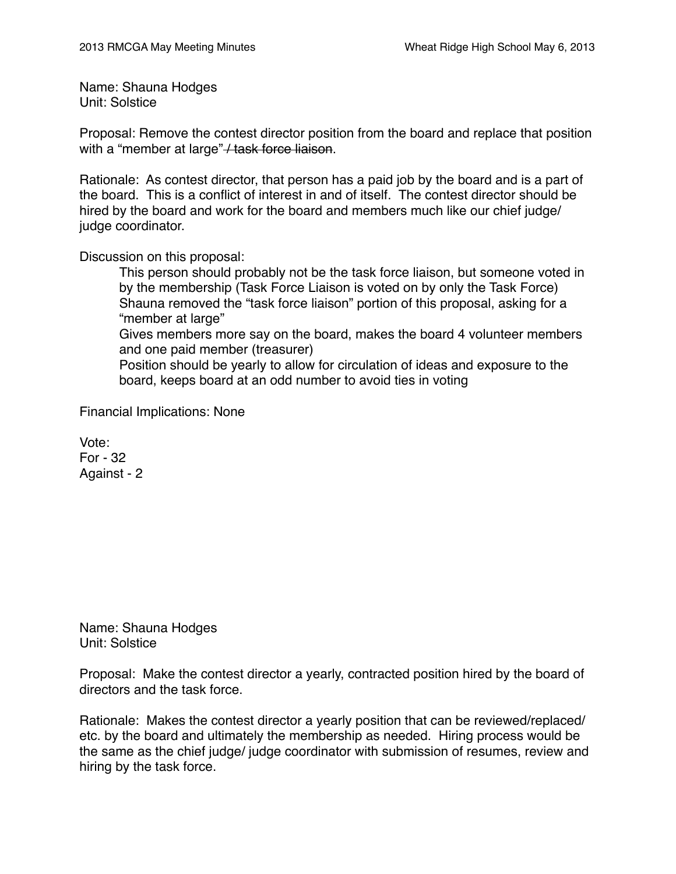Name: Shauna Hodges Unit: Solstice

Proposal: Remove the contest director position from the board and replace that position with a "member at large" / task force liaison.

Rationale: As contest director, that person has a paid job by the board and is a part of the board. This is a conflict of interest in and of itself. The contest director should be hired by the board and work for the board and members much like our chief judge/ judge coordinator.

Discussion on this proposal:

This person should probably not be the task force liaison, but someone voted in by the membership (Task Force Liaison is voted on by only the Task Force) Shauna removed the "task force liaison" portion of this proposal, asking for a "member at large"

Gives members more say on the board, makes the board 4 volunteer members and one paid member (treasurer)

Position should be yearly to allow for circulation of ideas and exposure to the board, keeps board at an odd number to avoid ties in voting

Financial Implications: None

Vote: For - 32 Against - 2

Name: Shauna Hodges Unit: Solstice

Proposal: Make the contest director a yearly, contracted position hired by the board of directors and the task force.

Rationale: Makes the contest director a yearly position that can be reviewed/replaced/ etc. by the board and ultimately the membership as needed. Hiring process would be the same as the chief judge/ judge coordinator with submission of resumes, review and hiring by the task force.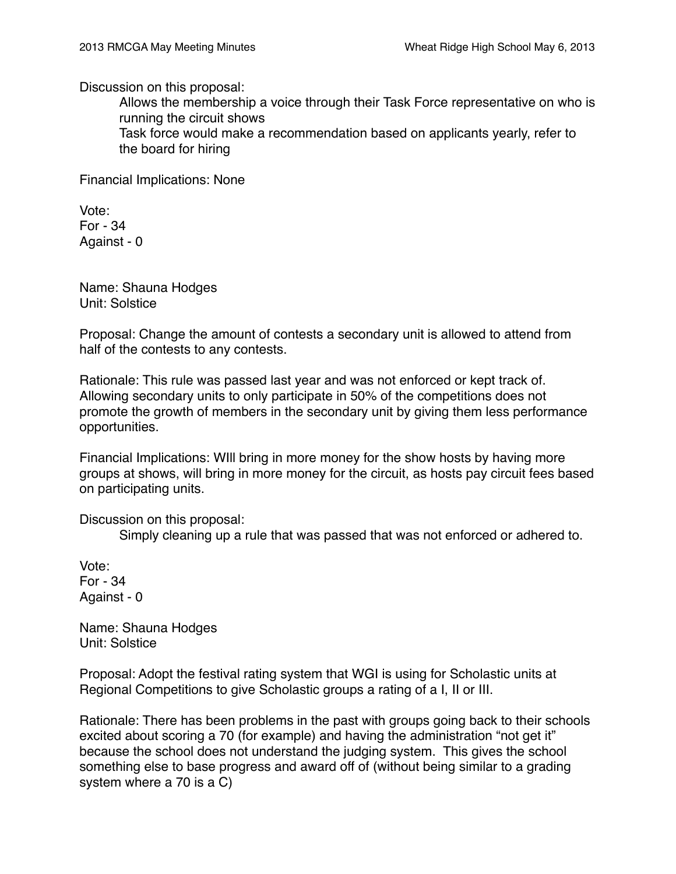Discussion on this proposal:

Allows the membership a voice through their Task Force representative on who is running the circuit shows

Task force would make a recommendation based on applicants yearly, refer to the board for hiring

Financial Implications: None

Vote: For - 34 Against - 0

Name: Shauna Hodges Unit: Solstice

Proposal: Change the amount of contests a secondary unit is allowed to attend from half of the contests to any contests.

Rationale: This rule was passed last year and was not enforced or kept track of. Allowing secondary units to only participate in 50% of the competitions does not promote the growth of members in the secondary unit by giving them less performance opportunities.

Financial Implications: WIll bring in more money for the show hosts by having more groups at shows, will bring in more money for the circuit, as hosts pay circuit fees based on participating units.

Discussion on this proposal:

Simply cleaning up a rule that was passed that was not enforced or adhered to.

Vote: For - 34 Against - 0

Name: Shauna Hodges Unit: Solstice

Proposal: Adopt the festival rating system that WGI is using for Scholastic units at Regional Competitions to give Scholastic groups a rating of a I, II or III.

Rationale: There has been problems in the past with groups going back to their schools excited about scoring a 70 (for example) and having the administration "not get it" because the school does not understand the judging system. This gives the school something else to base progress and award off of (without being similar to a grading system where a 70 is a C)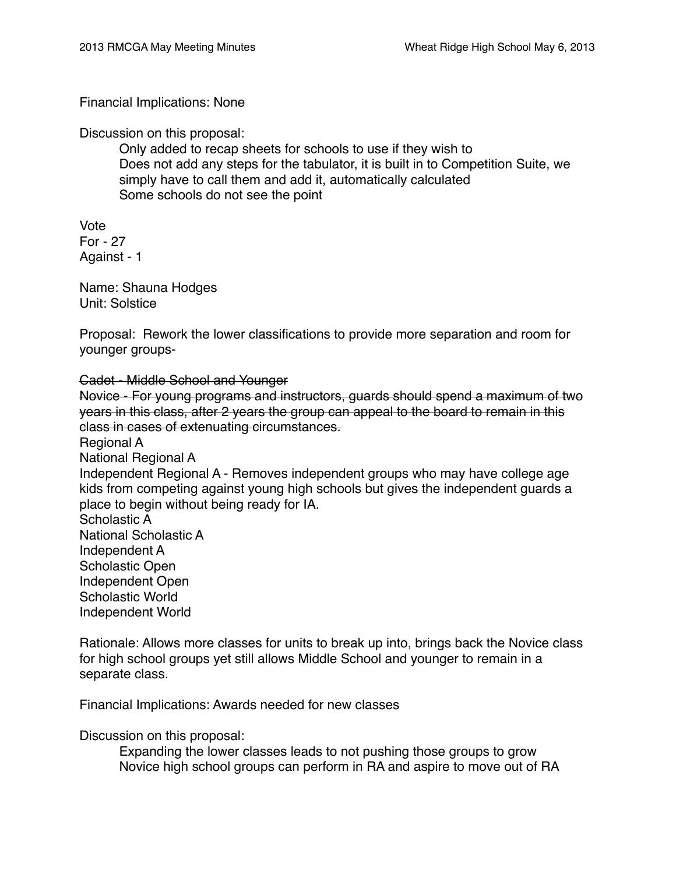### Financial Implications: None

Discussion on this proposal:

Only added to recap sheets for schools to use if they wish to Does not add any steps for the tabulator, it is built in to Competition Suite, we simply have to call them and add it, automatically calculated Some schools do not see the point

Vote For - 27 Against - 1

Name: Shauna Hodges Unit: Solstice

Proposal: Rework the lower classifications to provide more separation and room for younger groups-

Cadet - Middle School and Younger

Novice - For young programs and instructors, guards should spend a maximum of two years in this class, after 2 years the group can appeal to the board to remain in this class in cases of extenuating circumstances.

Regional A National Regional A Independent Regional A - Removes independent groups who may have college age kids from competing against young high schools but gives the independent guards a place to begin without being ready for IA. Scholastic A National Scholastic A Independent A Scholastic Open Independent Open Scholastic World Independent World

Rationale: Allows more classes for units to break up into, brings back the Novice class for high school groups yet still allows Middle School and younger to remain in a separate class.

Financial Implications: Awards needed for new classes

Discussion on this proposal:

Expanding the lower classes leads to not pushing those groups to grow Novice high school groups can perform in RA and aspire to move out of RA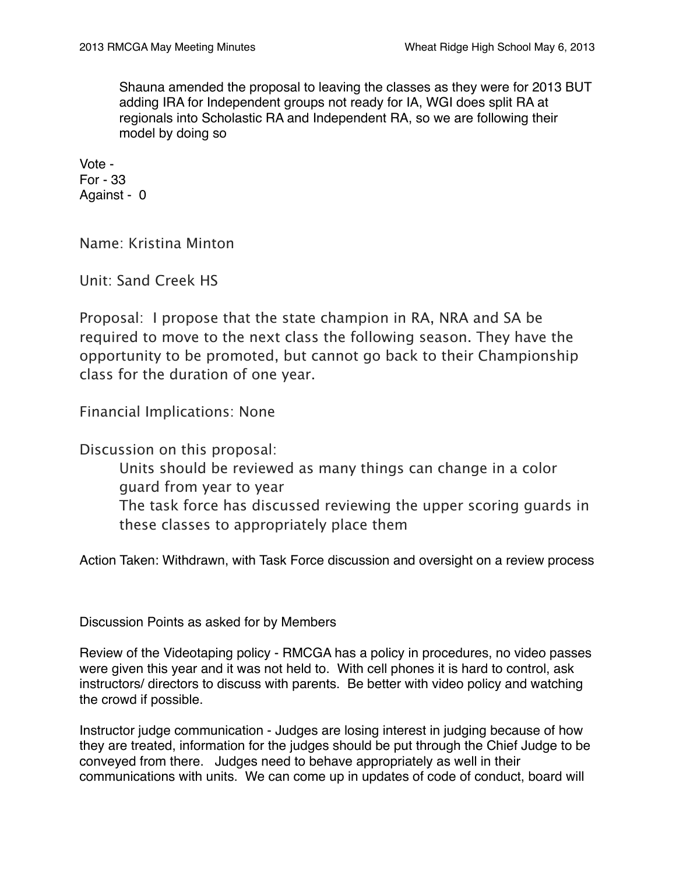Shauna amended the proposal to leaving the classes as they were for 2013 BUT adding IRA for Independent groups not ready for IA, WGI does split RA at regionals into Scholastic RA and Independent RA, so we are following their model by doing so

Vote - For - 33 Against - 0

Name: Kristina Minton

Unit: Sand Creek HS

Proposal: I propose that the state champion in RA, NRA and SA be required to move to the next class the following season. They have the opportunity to be promoted, but cannot go back to their Championship class for the duration of one year.

Financial Implications: None

Discussion on this proposal:

Units should be reviewed as many things can change in a color guard from year to year The task force has discussed reviewing the upper scoring guards in these classes to appropriately place them

Action Taken: Withdrawn, with Task Force discussion and oversight on a review process

Discussion Points as asked for by Members

Review of the Videotaping policy - RMCGA has a policy in procedures, no video passes were given this year and it was not held to. With cell phones it is hard to control, ask instructors/ directors to discuss with parents. Be better with video policy and watching the crowd if possible.

Instructor judge communication - Judges are losing interest in judging because of how they are treated, information for the judges should be put through the Chief Judge to be conveyed from there. Judges need to behave appropriately as well in their communications with units. We can come up in updates of code of conduct, board will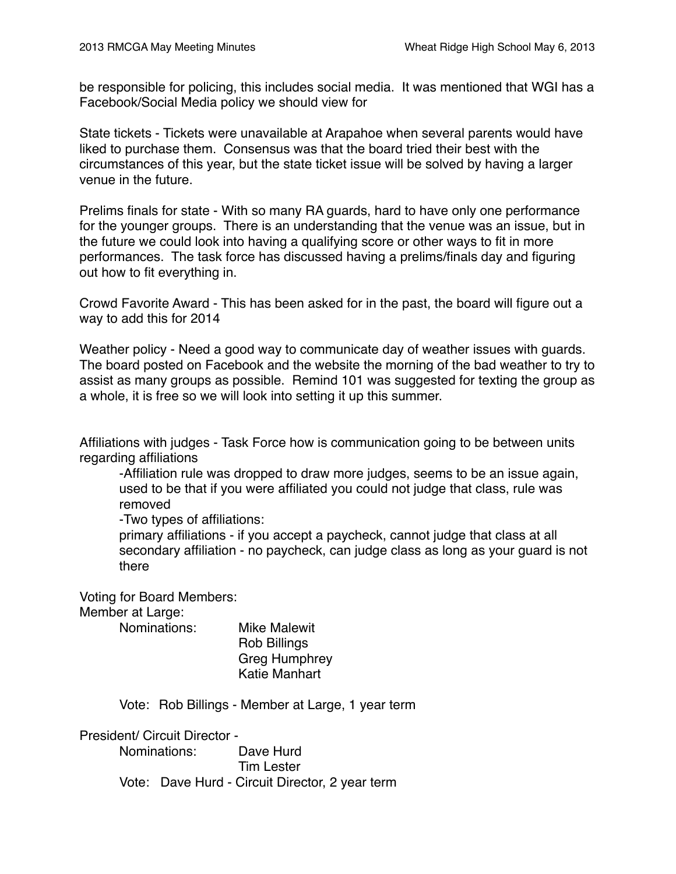be responsible for policing, this includes social media. It was mentioned that WGI has a Facebook/Social Media policy we should view for

State tickets - Tickets were unavailable at Arapahoe when several parents would have liked to purchase them. Consensus was that the board tried their best with the circumstances of this year, but the state ticket issue will be solved by having a larger venue in the future.

Prelims finals for state - With so many RA guards, hard to have only one performance for the younger groups. There is an understanding that the venue was an issue, but in the future we could look into having a qualifying score or other ways to fit in more performances. The task force has discussed having a prelims/finals day and figuring out how to fit everything in.

Crowd Favorite Award - This has been asked for in the past, the board will figure out a way to add this for 2014

Weather policy - Need a good way to communicate day of weather issues with guards. The board posted on Facebook and the website the morning of the bad weather to try to assist as many groups as possible. Remind 101 was suggested for texting the group as a whole, it is free so we will look into setting it up this summer.

Affiliations with judges - Task Force how is communication going to be between units regarding affiliations

-Affiliation rule was dropped to draw more judges, seems to be an issue again, used to be that if you were affiliated you could not judge that class, rule was removed

-Two types of affiliations:

primary affiliations - if you accept a paycheck, cannot judge that class at all secondary affiliation - no paycheck, can judge class as long as your guard is not there

Voting for Board Members:

Member at Large:

Nominations: Mike Malewit

Rob Billings Greg Humphrey Katie Manhart

Vote: Rob Billings - Member at Large, 1 year term

President/ Circuit Director - Nominations: Dave Hurd Tim Lester Vote: Dave Hurd - Circuit Director, 2 year term